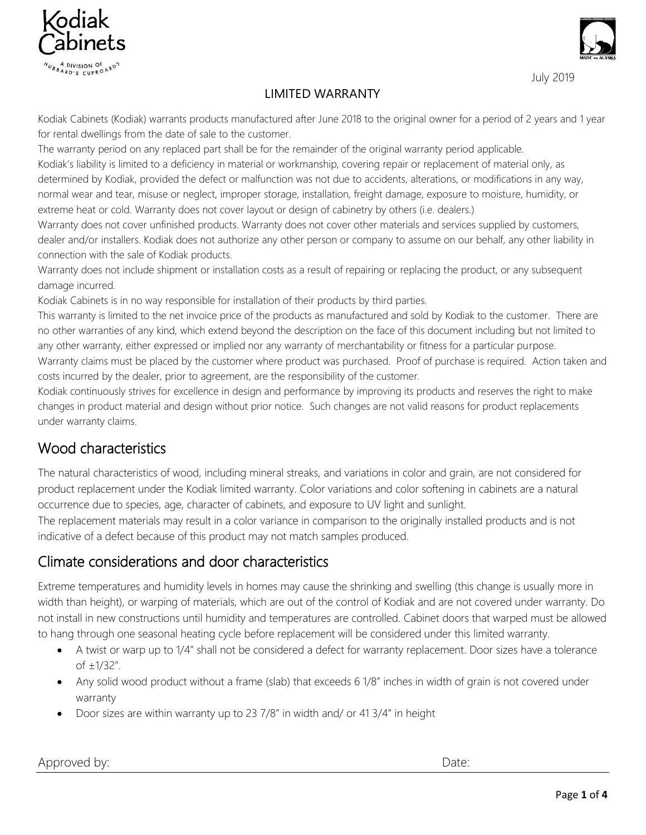



#### LIMITED WARRANTY

Kodiak Cabinets (Kodiak) warrants products manufactured after June 2018 to the original owner for a period of 2 years and 1 year for rental dwellings from the date of sale to the customer.

The warranty period on any replaced part shall be for the remainder of the original warranty period applicable. Kodiak's liability is limited to a deficiency in material or workmanship, covering repair or replacement of material only, as determined by Kodiak, provided the defect or malfunction was not due to accidents, alterations, or modifications in any way, normal wear and tear, misuse or neglect, improper storage, installation, freight damage, exposure to moisture, humidity, or extreme heat or cold. Warranty does not cover layout or design of cabinetry by others (i.e. dealers.)

Warranty does not cover unfinished products. Warranty does not cover other materials and services supplied by customers, dealer and/or installers. Kodiak does not authorize any other person or company to assume on our behalf, any other liability in connection with the sale of Kodiak products.

Warranty does not include shipment or installation costs as a result of repairing or replacing the product, or any subsequent damage incurred.

Kodiak Cabinets is in no way responsible for installation of their products by third parties.

This warranty is limited to the net invoice price of the products as manufactured and sold by Kodiak to the customer. There are no other warranties of any kind, which extend beyond the description on the face of this document including but not limited to any other warranty, either expressed or implied nor any warranty of merchantability or fitness for a particular purpose. Warranty claims must be placed by the customer where product was purchased. Proof of purchase is required. Action taken and

costs incurred by the dealer, prior to agreement, are the responsibility of the customer.

Kodiak continuously strives for excellence in design and performance by improving its products and reserves the right to make changes in product material and design without prior notice. Such changes are not valid reasons for product replacements under warranty claims.

# Wood characteristics

The natural characteristics of wood, including mineral streaks, and variations in color and grain, are not considered for product replacement under the Kodiak limited warranty. Color variations and color softening in cabinets are a natural occurrence due to species, age, character of cabinets, and exposure to UV light and sunlight.

The replacement materials may result in a color variance in comparison to the originally installed products and is not indicative of a defect because of this product may not match samples produced.

#### Climate considerations and door characteristics

Extreme temperatures and humidity levels in homes may cause the shrinking and swelling (this change is usually more in width than height), or warping of materials, which are out of the control of Kodiak and are not covered under warranty. Do not install in new constructions until humidity and temperatures are controlled. Cabinet doors that warped must be allowed to hang through one seasonal heating cycle before replacement will be considered under this limited warranty.

- A twist or warp up to 1/4" shall not be considered a defect for warranty replacement. Door sizes have a tolerance of ±1/32".
- Any solid wood product without a frame (slab) that exceeds 6 1/8" inches in width of grain is not covered under warranty
- Door sizes are within warranty up to 23 7/8" in width and/ or 41 3/4" in height

Approved by:  $\qquad \qquad$  Date: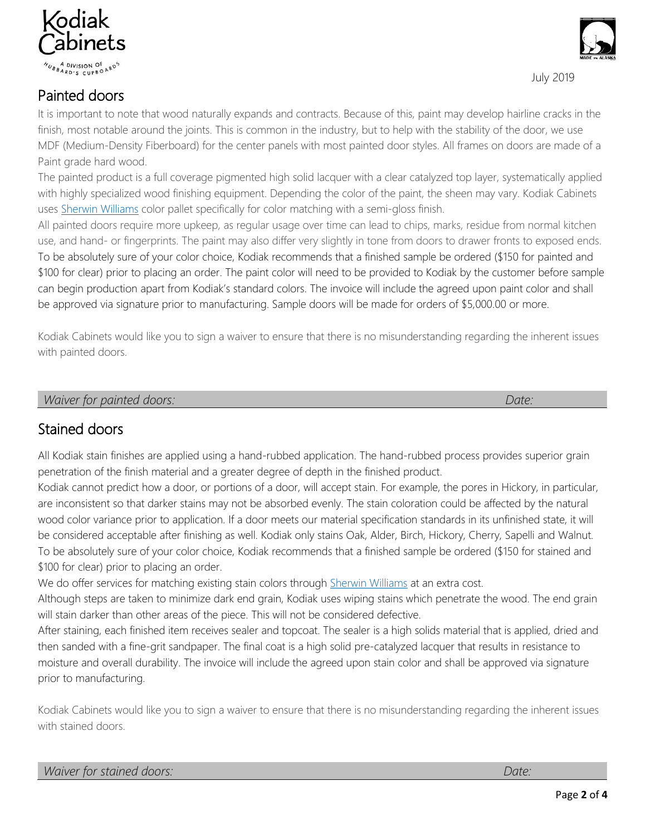

#### Painted doors

It is important to note that wood naturally expands and contracts. Because of this, paint may develop hairline cracks in the finish, most notable around the joints. This is common in the industry, but to help with the stability of the door, we use MDF (Medium-Density Fiberboard) for the center panels with most painted door styles. All frames on doors are made of a Paint grade hard wood.

The painted product is a full coverage pigmented high solid lacquer with a clear catalyzed top layer, systematically applied with highly specialized wood finishing equipment. Depending the color of the paint, the sheen may vary. Kodiak Cabinets uses [Sherwin Williams](https://www.sherwin-williams.com/) color pallet specifically for color matching with a semi-gloss finish.

All painted doors require more upkeep, as regular usage over time can lead to chips, marks, residue from normal kitchen use, and hand- or fingerprints. The paint may also differ very slightly in tone from doors to drawer fronts to exposed ends. To be absolutely sure of your color choice, Kodiak recommends that a finished sample be ordered (\$150 for painted and \$100 for clear) prior to placing an order. The paint color will need to be provided to Kodiak by the customer before sample can begin production apart from Kodiak's standard colors. The invoice will include the agreed upon paint color and shall be approved via signature prior to manufacturing. Sample doors will be made for orders of \$5,000.00 or more.

Kodiak Cabinets would like you to sign a waiver to ensure that there is no misunderstanding regarding the inherent issues with painted doors.

*Waiver for painted doors: Date:*

# Stained doors

All Kodiak stain finishes are applied using a hand-rubbed application. The hand-rubbed process provides superior grain penetration of the finish material and a greater degree of depth in the finished product.

Kodiak cannot predict how a door, or portions of a door, will accept stain. For example, the pores in Hickory, in particular, are inconsistent so that darker stains may not be absorbed evenly. The stain coloration could be affected by the natural wood color variance prior to application. If a door meets our material specification standards in its unfinished state, it will be considered acceptable after finishing as well. Kodiak only stains Oak, Alder, Birch, Hickory, Cherry, Sapelli and Walnut. To be absolutely sure of your color choice, Kodiak recommends that a finished sample be ordered (\$150 for stained and \$100 for clear) prior to placing an order.

We do offer services for matching existing stain colors through [Sherwin Williams](https://www.sherwin-williams.com/) at an extra cost.

Although steps are taken to minimize dark end grain, Kodiak uses wiping stains which penetrate the wood. The end grain will stain darker than other areas of the piece. This will not be considered defective.

After staining, each finished item receives sealer and topcoat. The sealer is a high solids material that is applied, dried and then sanded with a fine-grit sandpaper. The final coat is a high solid pre-catalyzed lacquer that results in resistance to moisture and overall durability. The invoice will include the agreed upon stain color and shall be approved via signature prior to manufacturing.

Kodiak Cabinets would like you to sign a waiver to ensure that there is no misunderstanding regarding the inherent issues with stained doors.



July 2019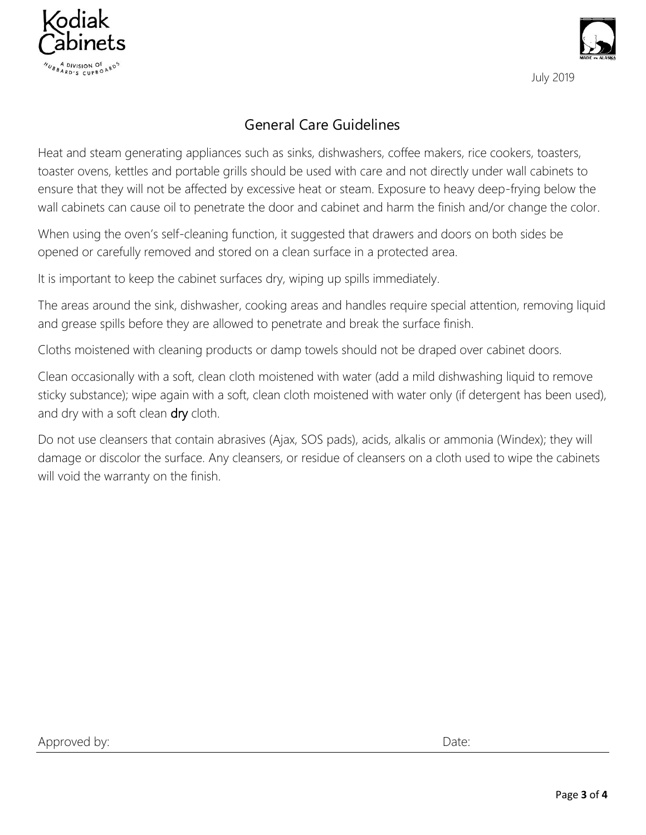



### General Care Guidelines

Heat and steam generating appliances such as sinks, dishwashers, coffee makers, rice cookers, toasters, toaster ovens, kettles and portable grills should be used with care and not directly under wall cabinets to ensure that they will not be affected by excessive heat or steam. Exposure to heavy deep-frying below the wall cabinets can cause oil to penetrate the door and cabinet and harm the finish and/or change the color.

When using the oven's self-cleaning function, it suggested that drawers and doors on both sides be opened or carefully removed and stored on a clean surface in a protected area.

It is important to keep the cabinet surfaces dry, wiping up spills immediately.

The areas around the sink, dishwasher, cooking areas and handles require special attention, removing liquid and grease spills before they are allowed to penetrate and break the surface finish.

Cloths moistened with cleaning products or damp towels should not be draped over cabinet doors.

Clean occasionally with a soft, clean cloth moistened with water (add a mild dishwashing liquid to remove sticky substance); wipe again with a soft, clean cloth moistened with water only (if detergent has been used), and dry with a soft clean dry cloth.

Do not use cleansers that contain abrasives (Ajax, SOS pads), acids, alkalis or ammonia (Windex); they will damage or discolor the surface. Any cleansers, or residue of cleansers on a cloth used to wipe the cabinets will void the warranty on the finish.